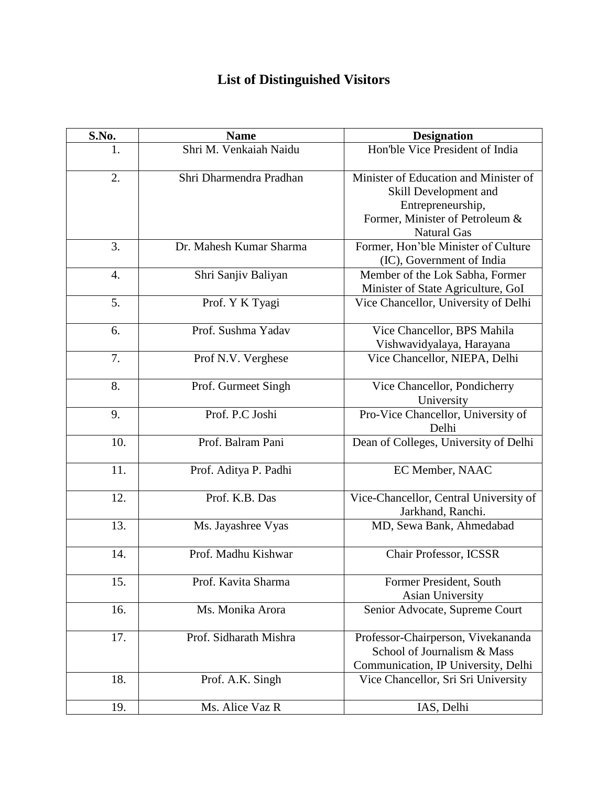## **List of Distinguished Visitors**

| S.No.            | <b>Name</b>             | <b>Designation</b>                                                                                                                           |
|------------------|-------------------------|----------------------------------------------------------------------------------------------------------------------------------------------|
| 1.               | Shri M. Venkaiah Naidu  | Hon'ble Vice President of India                                                                                                              |
| 2.               | Shri Dharmendra Pradhan | Minister of Education and Minister of<br>Skill Development and<br>Entrepreneurship,<br>Former, Minister of Petroleum &<br><b>Natural Gas</b> |
| 3.               | Dr. Mahesh Kumar Sharma | Former, Hon'ble Minister of Culture<br>(IC), Government of India                                                                             |
| $\overline{4}$ . | Shri Sanjiv Baliyan     | Member of the Lok Sabha, Former<br>Minister of State Agriculture, GoI                                                                        |
| 5.               | Prof. Y K Tyagi         | Vice Chancellor, University of Delhi                                                                                                         |
| 6.               | Prof. Sushma Yadav      | Vice Chancellor, BPS Mahila<br>Vishwavidyalaya, Harayana                                                                                     |
| 7.               | Prof N.V. Verghese      | Vice Chancellor, NIEPA, Delhi                                                                                                                |
| 8.               | Prof. Gurmeet Singh     | Vice Chancellor, Pondicherry<br>University                                                                                                   |
| 9.               | Prof. P.C Joshi         | Pro-Vice Chancellor, University of<br>Delhi                                                                                                  |
| 10.              | Prof. Balram Pani       | Dean of Colleges, University of Delhi                                                                                                        |
| 11.              | Prof. Aditya P. Padhi   | EC Member, NAAC                                                                                                                              |
| 12.              | Prof. K.B. Das          | Vice-Chancellor, Central University of<br>Jarkhand, Ranchi.                                                                                  |
| 13.              | Ms. Jayashree Vyas      | MD, Sewa Bank, Ahmedabad                                                                                                                     |
| 14.              | Prof. Madhu Kishwar     | Chair Professor, ICSSR                                                                                                                       |
| 15.              | Prof. Kavita Sharma     | Former President, South<br><b>Asian University</b>                                                                                           |
| 16.              | Ms. Monika Arora        | Senior Advocate, Supreme Court                                                                                                               |
| 17.              | Prof. Sidharath Mishra  | Professor-Chairperson, Vivekananda<br>School of Journalism & Mass<br>Communication, IP University, Delhi                                     |
| 18.              | Prof. A.K. Singh        | Vice Chancellor, Sri Sri University                                                                                                          |
| 19.              | Ms. Alice Vaz R         | IAS, Delhi                                                                                                                                   |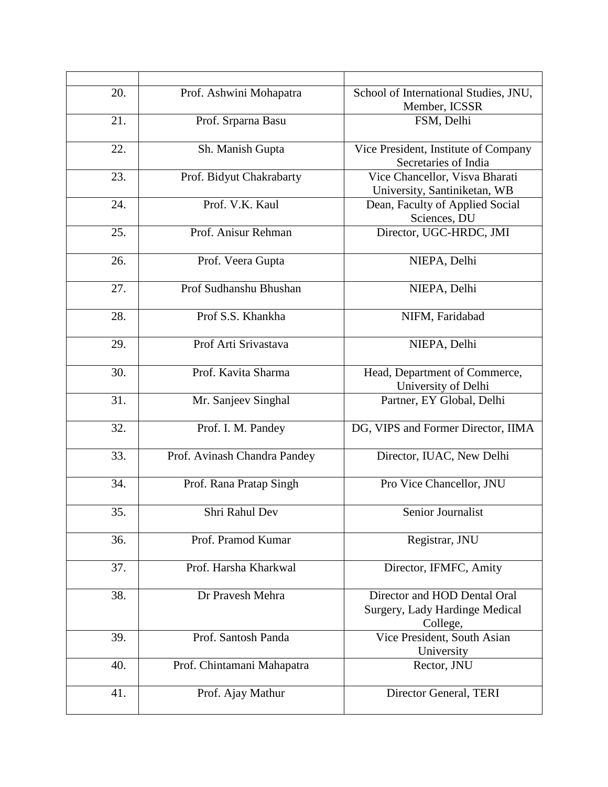| 20. | Prof. Ashwini Mohapatra      | School of International Studies, JNU,<br>Member, ICSSR                     |
|-----|------------------------------|----------------------------------------------------------------------------|
| 21. | Prof. Srparna Basu           | FSM, Delhi                                                                 |
| 22. | Sh. Manish Gupta             | Vice President, Institute of Company<br>Secretaries of India               |
| 23. | Prof. Bidyut Chakrabarty     | Vice Chancellor, Visva Bharati<br>University, Santiniketan, WB             |
| 24. | Prof. V.K. Kaul              | Dean, Faculty of Applied Social<br>Sciences, DU                            |
| 25. | Prof. Anisur Rehman          | Director, UGC-HRDC, JMI                                                    |
| 26. | Prof. Veera Gupta            | NIEPA, Delhi                                                               |
| 27. | Prof Sudhanshu Bhushan       | NIEPA, Delhi                                                               |
| 28. | Prof S.S. Khankha            | NIFM, Faridabad                                                            |
| 29. | Prof Arti Srivastava         | NIEPA, Delhi                                                               |
| 30. | Prof. Kavita Sharma          | Head, Department of Commerce,<br>University of Delhi                       |
| 31. | Mr. Sanjeev Singhal          | Partner, EY Global, Delhi                                                  |
| 32. | Prof. I. M. Pandey           | DG, VIPS and Former Director, IIMA                                         |
| 33. | Prof. Avinash Chandra Pandey | Director, IUAC, New Delhi                                                  |
| 34. | Prof. Rana Pratap Singh      | Pro Vice Chancellor, JNU                                                   |
| 35. | Shri Rahul Dev               | Senior Journalist                                                          |
| 36. | Prof. Pramod Kumar           | Registrar, JNU                                                             |
| 37. | Prof. Harsha Kharkwal        | Director, IFMFC, Amity                                                     |
| 38. | Dr Pravesh Mehra             | Director and HOD Dental Oral<br>Surgery, Lady Hardinge Medical<br>College, |
| 39. | Prof. Santosh Panda          | Vice President, South Asian<br>University                                  |
| 40. |                              |                                                                            |
|     | Prof. Chintamani Mahapatra   | Rector, JNU                                                                |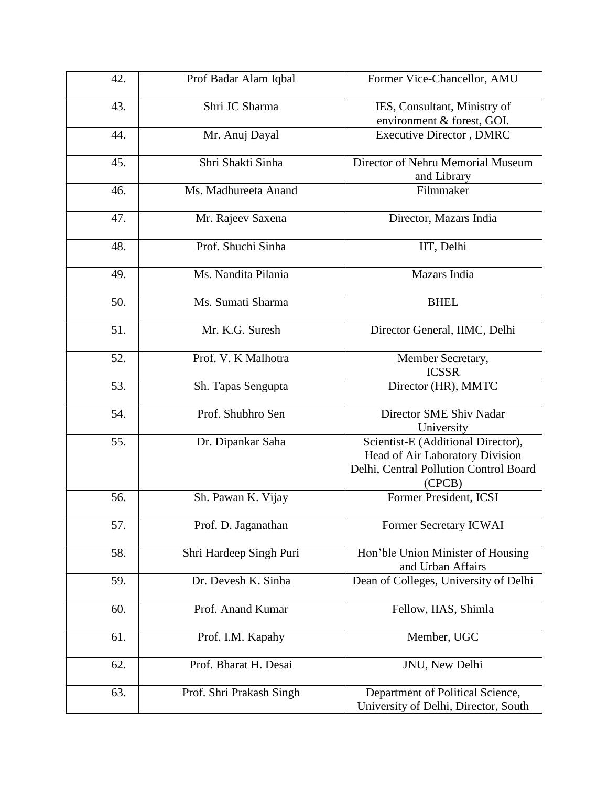| 42. | Prof Badar Alam Iqbal    | Former Vice-Chancellor, AMU                                                                                               |
|-----|--------------------------|---------------------------------------------------------------------------------------------------------------------------|
| 43. | Shri JC Sharma           | IES, Consultant, Ministry of<br>environment & forest, GOI.                                                                |
| 44. | Mr. Anuj Dayal           | <b>Executive Director, DMRC</b>                                                                                           |
| 45. | Shri Shakti Sinha        | Director of Nehru Memorial Museum<br>and Library                                                                          |
| 46. | Ms. Madhureeta Anand     | Filmmaker                                                                                                                 |
| 47. | Mr. Rajeev Saxena        | Director, Mazars India                                                                                                    |
| 48. | Prof. Shuchi Sinha       | IIT, Delhi                                                                                                                |
| 49. | Ms. Nandita Pilania      | Mazars India                                                                                                              |
| 50. | Ms. Sumati Sharma        | <b>BHEL</b>                                                                                                               |
| 51. | Mr. K.G. Suresh          | Director General, IIMC, Delhi                                                                                             |
| 52. | Prof. V. K Malhotra      | Member Secretary,<br><b>ICSSR</b>                                                                                         |
| 53. | Sh. Tapas Sengupta       | Director (HR), MMTC                                                                                                       |
| 54. | Prof. Shubhro Sen        | Director SME Shiv Nadar<br>University                                                                                     |
| 55. | Dr. Dipankar Saha        | Scientist-E (Additional Director),<br>Head of Air Laboratory Division<br>Delhi, Central Pollution Control Board<br>(CPCB) |
| 56. | Sh. Pawan K. Vijay       | Former President, ICSI                                                                                                    |
| 57. | Prof. D. Jaganathan      | Former Secretary ICWAI                                                                                                    |
| 58. | Shri Hardeep Singh Puri  | Hon'ble Union Minister of Housing<br>and Urban Affairs                                                                    |
| 59. | Dr. Devesh K. Sinha      | Dean of Colleges, University of Delhi                                                                                     |
| 60. | Prof. Anand Kumar        | Fellow, IIAS, Shimla                                                                                                      |
| 61. | Prof. I.M. Kapahy        | Member, UGC                                                                                                               |
| 62. | Prof. Bharat H. Desai    | JNU, New Delhi                                                                                                            |
| 63. | Prof. Shri Prakash Singh | Department of Political Science,<br>University of Delhi, Director, South                                                  |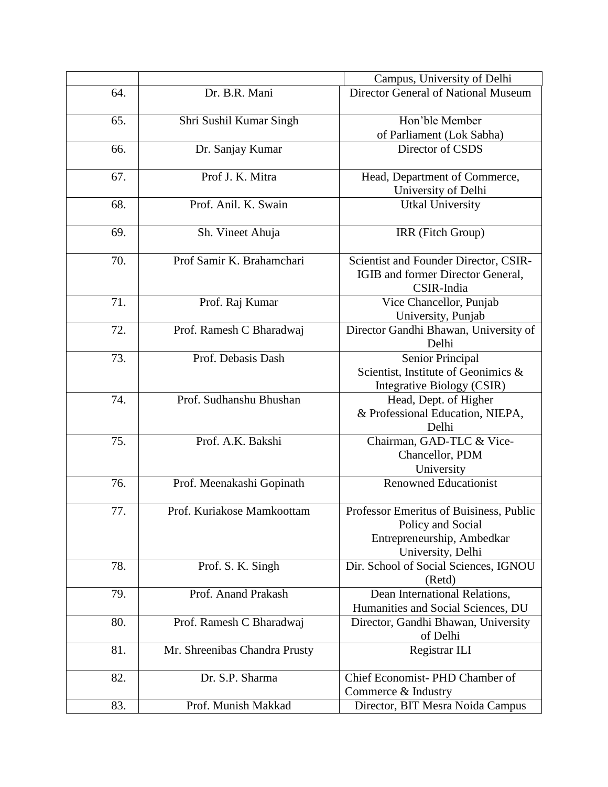|     |                               | Campus, University of Delhi                                                                                     |
|-----|-------------------------------|-----------------------------------------------------------------------------------------------------------------|
| 64. | Dr. B.R. Mani                 | Director General of National Museum                                                                             |
| 65. | Shri Sushil Kumar Singh       | Hon'ble Member<br>of Parliament (Lok Sabha)                                                                     |
| 66. | Dr. Sanjay Kumar              | Director of CSDS                                                                                                |
| 67. | Prof J. K. Mitra              | Head, Department of Commerce,<br>University of Delhi                                                            |
| 68. | Prof. Anil. K. Swain          | <b>Utkal University</b>                                                                                         |
| 69. | Sh. Vineet Ahuja              | IRR (Fitch Group)                                                                                               |
| 70. | Prof Samir K. Brahamchari     | Scientist and Founder Director, CSIR-<br>IGIB and former Director General,<br>CSIR-India                        |
| 71. | Prof. Raj Kumar               | Vice Chancellor, Punjab<br>University, Punjab                                                                   |
| 72. | Prof. Ramesh C Bharadwaj      | Director Gandhi Bhawan, University of<br>Delhi                                                                  |
| 73. | Prof. Debasis Dash            | Senior Principal<br>Scientist, Institute of Geonimics &<br>Integrative Biology (CSIR)                           |
| 74. | Prof. Sudhanshu Bhushan       | Head, Dept. of Higher<br>& Professional Education, NIEPA,<br>Delhi                                              |
| 75. | Prof. A.K. Bakshi             | Chairman, GAD-TLC & Vice-<br>Chancellor, PDM<br>University                                                      |
| 76. | Prof. Meenakashi Gopinath     | <b>Renowned Educationist</b>                                                                                    |
| 77. | Prof. Kuriakose Mamkoottam    | Professor Emeritus of Buisiness, Public<br>Policy and Social<br>Entrepreneurship, Ambedkar<br>University, Delhi |
| 78. | Prof. S. K. Singh             | Dir. School of Social Sciences, IGNOU<br>(Retd)                                                                 |
| 79. | Prof. Anand Prakash           | Dean International Relations,<br>Humanities and Social Sciences, DU                                             |
| 80. | Prof. Ramesh C Bharadwaj      | Director, Gandhi Bhawan, University<br>of Delhi                                                                 |
| 81. | Mr. Shreenibas Chandra Prusty | Registrar ILI                                                                                                   |
| 82. | Dr. S.P. Sharma               | Chief Economist-PHD Chamber of<br>Commerce & Industry                                                           |
| 83. | Prof. Munish Makkad           | Director, BIT Mesra Noida Campus                                                                                |